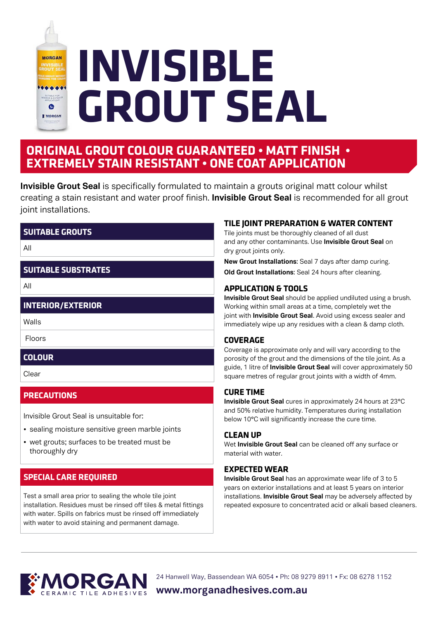

## **ORIGINAL GROUT COLOUR GUARANTEED • MATT FINISH • EXTREMELY STAIN RESISTANT • ONE COAT APPLICATION**

**Invisible Grout Seal** is specifically formulated to maintain a grouts original matt colour whilst creating a stain resistant and water proof finish. **Invisible Grout Seal** is recommended for all grout joint installations.

#### **SUITABLE GROUTS**

All

#### **SUITABLE SUBSTRATES**

All

#### **INTERIOR/EXTERIOR**

Walls

Floors

#### **COLOUR**

Clear

#### **PRECAUTIONS**

Invisible Grout Seal is unsuitable for:

- sealing moisture sensitive green marble joints
- wet grouts; surfaces to be treated must be thoroughly dry

### **SPECIAL CARE REQUIRED**

Test a small area prior to sealing the whole tile joint installation. Residues must be rinsed off tiles & metal fittings with water. Spills on fabrics must be rinsed off immediately with water to avoid staining and permanent damage.

#### **TILE JOINT PREPARATION & WATER CONTENT**

Tile joints must be thoroughly cleaned of all dust and any other contaminants. Use **Invisible Grout Seal** on dry grout joints only.

**New Grout Installations**: Seal 7 days after damp curing. **Old Grout Installations**: Seal 24 hours after cleaning.

#### **APPLICATION & TOOLS**

**Invisible Grout Seal** should be applied undiluted using a brush. Working within small areas at a time, completely wet the joint with **Invisible Grout Seal**. Avoid using excess sealer and immediately wipe up any residues with a clean & damp cloth.

#### **COVERAGE**

Coverage is approximate only and will vary according to the porosity of the grout and the dimensions of the tile joint. As a guide, 1 litre of **Invisible Grout Seal** will cover approximately 50 square metres of regular grout joints with a width of 4mm.

#### **CURE TIME**

**Invisible Grout Seal** cures in approximately 24 hours at 23°C and 50% relative humidity. Temperatures during installation below 10°C will significantly increase the cure time.

#### **CLEAN UP**

Wet **Invisible Grout Seal** can be cleaned off any surface or material with water.

#### **EXPECTED WEAR**

**Invisible Grout Seal** has an approximate wear life of 3 to 5 years on exterior installations and at least 5 years on interior installations. **Invisible Grout Seal** may be adversely affected by repeated exposure to concentrated acid or alkali based cleaners.



24 Hanwell Way, Bassendean WA 6054 • Ph: 08 9279 8911 • Fx: 08 6278 1152

**www.morganadhesives.com.au**